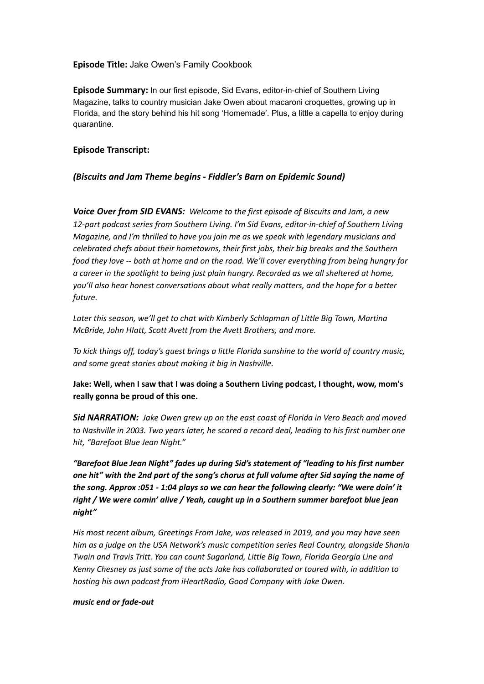# **Episode Title:** Jake Owen's Family Cookbook

**Episode Summary:** In our first episode, Sid Evans, editor-in-chief of Southern Living Magazine, talks to country musician Jake Owen about macaroni croquettes, growing up in Florida, and the story behind his hit song 'Homemade'. Plus, a little a capella to enjoy during quarantine.

### **Episode Transcript:**

# *(Biscuits and Jam Theme begins - Fiddler's Barn on Epidemic Sound)*

*Voice Over from SID EVANS: Welcome to the first episode of Biscuits and Jam, a new 12-part podcast series from Southern Living. I'm Sid Evans, editor-in-chief of Southern Living Magazine, and I'm thrilled to have you join me as we speak with legendary musicians and celebrated chefs about their hometowns, their first jobs, their big breaks and the Southern food they love -- both at home and on the road. We'll cover everything from being hungry for a career in the spotlight to being just plain hungry. Recorded as we all sheltered at home, you'll also hear honest conversations about what really matters, and the hope for a better future.*

*Later this season, we'll get to chat with Kimberly Schlapman of Little Big Town, Martina McBride, John HIatt, Scott Avett from the Avett Brothers, and more.*

*To kick things off, today's guest brings a little Florida sunshine to the world of country music, and some great stories about making it big in Nashville.*

**Jake: Well, when I saw that I was doing a Southern Living podcast, I thought, wow, mom's really gonna be proud of this one.**

*Sid NARRATION: Jake Owen grew up on the east coast of Florida in Vero Beach and moved to Nashville in 2003. Two years later, he scored a record deal, leading to his first number one hit, "Barefoot Blue Jean Night."*

*"Barefoot Blue Jean Night" fades up during Sid's statement of "leading to his first number one hit" with the 2nd part of the song's chorus at full volume after Sid saying the name of the song. Approx :051 - 1:04 plays so we can hear the following clearly: "We were doin' it right / We were comin' alive / Yeah, caught up in a Southern summer barefoot blue jean night"*

*His most recent album, Greetings From Jake, was released in 2019, and you may have seen him as a judge on the USA Network's music competition series Real Country, alongside Shania Twain and Travis Tritt. You can count Sugarland, Little Big Town, Florida Georgia Line and Kenny Chesney as just some of the acts Jake has collaborated or toured with, in addition to hosting his own podcast from iHeartRadio, Good Company with Jake Owen.*

#### *music end or fade-out*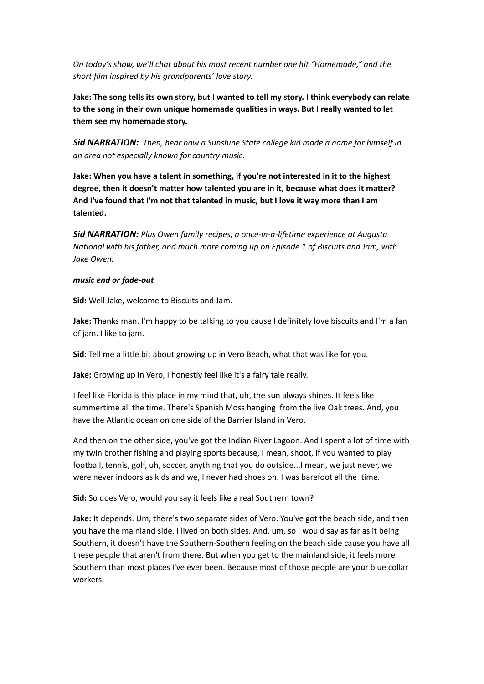*On today's show, we'll chat about his most recent number one hit "Homemade," and the short film inspired by his grandparents' love story.*

Jake: The song tells its own story, but I wanted to tell my story. I think everybody can relate **to the song in their own unique homemade qualities in ways. But I really wanted to let them see my homemade story.**

*Sid NARRATION: Then, hear how a Sunshine State college kid made a name for himself in an area not especially known for country music.*

**Jake: When you have a talent in something, if you're not interested in it to the highest degree, then it doesn't matter how talented you are in it, because what does it matter? And I've found that I'm not that talented in music, but I love it way more than I am talented.**

*Sid NARRATION: Plus Owen family recipes, a once-in-a-lifetime experience at Augusta National with his father, and much more coming up on Episode 1 of Biscuits and Jam, with Jake Owen.*

#### *music end or fade-out*

**Sid:** Well Jake, welcome to Biscuits and Jam.

**Jake:** Thanks man. I'm happy to be talking to you cause I definitely love biscuits and I'm a fan of jam. I like to jam.

**Sid:** Tell me a little bit about growing up in Vero Beach, what that was like for you.

**Jake:** Growing up in Vero, I honestly feel like it's a fairy tale really.

I feel like Florida is this place in my mind that, uh, the sun always shines. It feels like summertime all the time. There's Spanish Moss hanging from the live Oak trees. And, you have the Atlantic ocean on one side of the Barrier Island in Vero.

And then on the other side, you've got the Indian River Lagoon. And I spent a lot of time with my twin brother fishing and playing sports because, I mean, shoot, if you wanted to play football, tennis, golf, uh, soccer, anything that you do outside...I mean, we just never, we were never indoors as kids and we, I never had shoes on. I was barefoot all the time.

**Sid:** So does Vero, would you say it feels like a real Southern town?

**Jake:** It depends. Um, there's two separate sides of Vero. You've got the beach side, and then you have the mainland side. I lived on both sides. And, um, so I would say as far as it being Southern, it doesn't have the Southern-Southern feeling on the beach side cause you have all these people that aren't from there. But when you get to the mainland side, it feels more Southern than most places I've ever been. Because most of those people are your blue collar workers.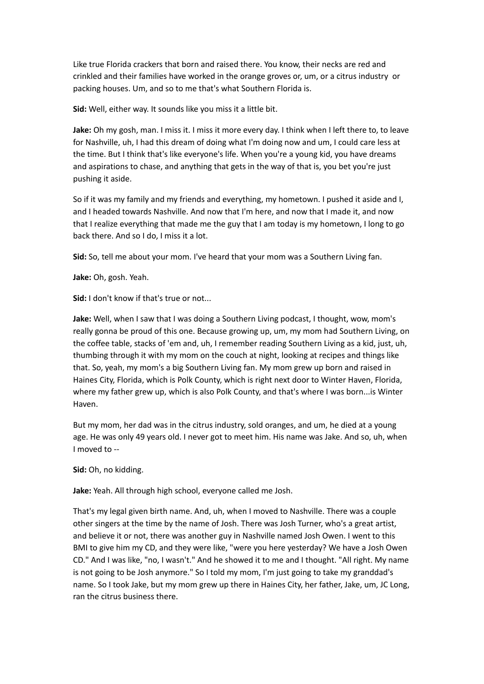Like true Florida crackers that born and raised there. You know, their necks are red and crinkled and their families have worked in the orange groves or, um, or a citrus industry or packing houses. Um, and so to me that's what Southern Florida is.

**Sid:** Well, either way. It sounds like you miss it a little bit.

**Jake:** Oh my gosh, man. I miss it. I miss it more every day. I think when I left there to, to leave for Nashville, uh, I had this dream of doing what I'm doing now and um, I could care less at the time. But I think that's like everyone's life. When you're a young kid, you have dreams and aspirations to chase, and anything that gets in the way of that is, you bet you're just pushing it aside.

So if it was my family and my friends and everything, my hometown. I pushed it aside and I, and I headed towards Nashville. And now that I'm here, and now that I made it, and now that I realize everything that made me the guy that I am today is my hometown, I long to go back there. And so I do, I miss it a lot.

**Sid:** So, tell me about your mom. I've heard that your mom was a Southern Living fan.

**Jake:** Oh, gosh. Yeah.

**Sid:** I don't know if that's true or not...

**Jake:** Well, when I saw that I was doing a Southern Living podcast, I thought, wow, mom's really gonna be proud of this one. Because growing up, um, my mom had Southern Living, on the coffee table, stacks of 'em and, uh, I remember reading Southern Living as a kid, just, uh, thumbing through it with my mom on the couch at night, looking at recipes and things like that. So, yeah, my mom's a big Southern Living fan. My mom grew up born and raised in Haines City, Florida, which is Polk County, which is right next door to Winter Haven, Florida, where my father grew up, which is also Polk County, and that's where I was born...is Winter Haven.

But my mom, her dad was in the citrus industry, sold oranges, and um, he died at a young age. He was only 49 years old. I never got to meet him. His name was Jake. And so, uh, when I moved to --

**Sid:** Oh, no kidding.

**Jake:** Yeah. All through high school, everyone called me Josh.

That's my legal given birth name. And, uh, when I moved to Nashville. There was a couple other singers at the time by the name of Josh. There was Josh Turner, who's a great artist, and believe it or not, there was another guy in Nashville named Josh Owen. I went to this BMI to give him my CD, and they were like, "were you here yesterday? We have a Josh Owen CD." And I was like, "no, I wasn't." And he showed it to me and I thought. "All right. My name is not going to be Josh anymore." So I told my mom, I'm just going to take my granddad's name. So I took Jake, but my mom grew up there in Haines City, her father, Jake, um, JC Long, ran the citrus business there.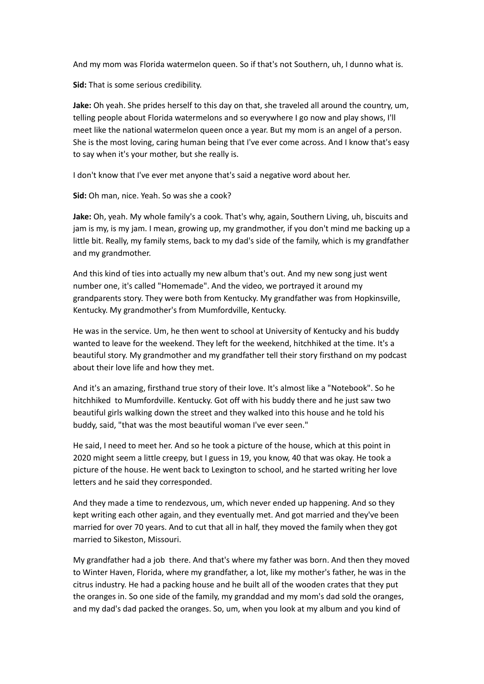And my mom was Florida watermelon queen. So if that's not Southern, uh, I dunno what is.

**Sid:** That is some serious credibility.

**Jake:** Oh yeah. She prides herself to this day on that, she traveled all around the country, um, telling people about Florida watermelons and so everywhere I go now and play shows, I'll meet like the national watermelon queen once a year. But my mom is an angel of a person. She is the most loving, caring human being that I've ever come across. And I know that's easy to say when it's your mother, but she really is.

I don't know that I've ever met anyone that's said a negative word about her.

**Sid:** Oh man, nice. Yeah. So was she a cook?

**Jake:** Oh, yeah. My whole family's a cook. That's why, again, Southern Living, uh, biscuits and jam is my, is my jam. I mean, growing up, my grandmother, if you don't mind me backing up a little bit. Really, my family stems, back to my dad's side of the family, which is my grandfather and my grandmother.

And this kind of ties into actually my new album that's out. And my new song just went number one, it's called "Homemade". And the video, we portrayed it around my grandparents story. They were both from Kentucky. My grandfather was from Hopkinsville, Kentucky. My grandmother's from Mumfordville, Kentucky.

He was in the service. Um, he then went to school at University of Kentucky and his buddy wanted to leave for the weekend. They left for the weekend, hitchhiked at the time. It's a beautiful story. My grandmother and my grandfather tell their story firsthand on my podcast about their love life and how they met.

And it's an amazing, firsthand true story of their love. It's almost like a "Notebook". So he hitchhiked to Mumfordville. Kentucky. Got off with his buddy there and he just saw two beautiful girls walking down the street and they walked into this house and he told his buddy, said, "that was the most beautiful woman I've ever seen."

He said, I need to meet her. And so he took a picture of the house, which at this point in 2020 might seem a little creepy, but I guess in 19, you know, 40 that was okay. He took a picture of the house. He went back to Lexington to school, and he started writing her love letters and he said they corresponded.

And they made a time to rendezvous, um, which never ended up happening. And so they kept writing each other again, and they eventually met. And got married and they've been married for over 70 years. And to cut that all in half, they moved the family when they got married to Sikeston, Missouri.

My grandfather had a job there. And that's where my father was born. And then they moved to Winter Haven, Florida, where my grandfather, a lot, like my mother's father, he was in the citrus industry. He had a packing house and he built all of the wooden crates that they put the oranges in. So one side of the family, my granddad and my mom's dad sold the oranges, and my dad's dad packed the oranges. So, um, when you look at my album and you kind of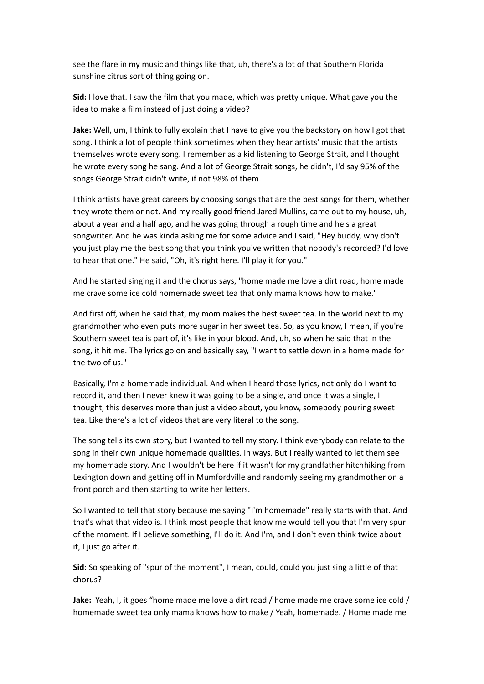see the flare in my music and things like that, uh, there's a lot of that Southern Florida sunshine citrus sort of thing going on.

**Sid:** I love that. I saw the film that you made, which was pretty unique. What gave you the idea to make a film instead of just doing a video?

**Jake:** Well, um, I think to fully explain that I have to give you the backstory on how I got that song. I think a lot of people think sometimes when they hear artists' music that the artists themselves wrote every song. I remember as a kid listening to George Strait, and I thought he wrote every song he sang. And a lot of George Strait songs, he didn't, I'd say 95% of the songs George Strait didn't write, if not 98% of them.

I think artists have great careers by choosing songs that are the best songs for them, whether they wrote them or not. And my really good friend Jared Mullins, came out to my house, uh, about a year and a half ago, and he was going through a rough time and he's a great songwriter. And he was kinda asking me for some advice and I said, "Hey buddy, why don't you just play me the best song that you think you've written that nobody's recorded? I'd love to hear that one." He said, "Oh, it's right here. I'll play it for you."

And he started singing it and the chorus says, "home made me love a dirt road, home made me crave some ice cold homemade sweet tea that only mama knows how to make."

And first off, when he said that, my mom makes the best sweet tea. In the world next to my grandmother who even puts more sugar in her sweet tea. So, as you know, I mean, if you're Southern sweet tea is part of, it's like in your blood. And, uh, so when he said that in the song, it hit me. The lyrics go on and basically say, "I want to settle down in a home made for the two of us."

Basically, I'm a homemade individual. And when I heard those lyrics, not only do I want to record it, and then I never knew it was going to be a single, and once it was a single, I thought, this deserves more than just a video about, you know, somebody pouring sweet tea. Like there's a lot of videos that are very literal to the song.

The song tells its own story, but I wanted to tell my story. I think everybody can relate to the song in their own unique homemade qualities. In ways. But I really wanted to let them see my homemade story. And I wouldn't be here if it wasn't for my grandfather hitchhiking from Lexington down and getting off in Mumfordville and randomly seeing my grandmother on a front porch and then starting to write her letters.

So I wanted to tell that story because me saying "I'm homemade" really starts with that. And that's what that video is. I think most people that know me would tell you that I'm very spur of the moment. If I believe something, I'll do it. And I'm, and I don't even think twice about it, I just go after it.

**Sid:** So speaking of "spur of the moment", I mean, could, could you just sing a little of that chorus?

**Jake:** Yeah, I, it goes "home made me love a dirt road / home made me crave some ice cold / homemade sweet tea only mama knows how to make / Yeah, homemade. / Home made me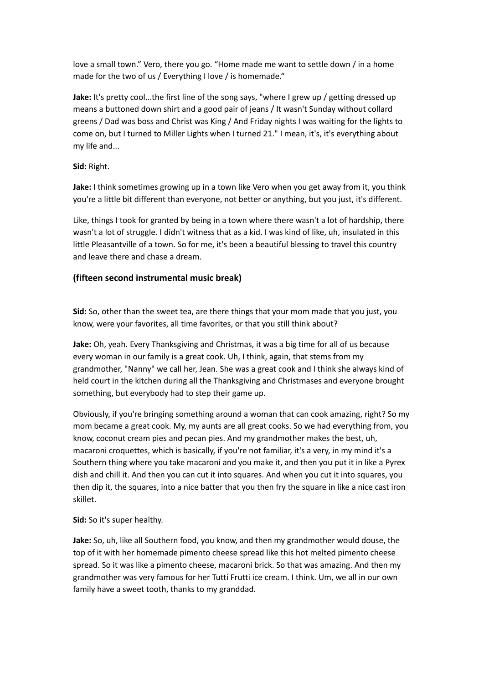love a small town." Vero, there you go. "Home made me want to settle down / in a home made for the two of us / Everything I love / is homemade."

**Jake:** It's pretty cool...the first line of the song says, "where I grew up / getting dressed up means a buttoned down shirt and a good pair of jeans / It wasn't Sunday without collard greens / Dad was boss and Christ was King / And Friday nights I was waiting for the lights to come on, but I turned to Miller Lights when I turned 21." I mean, it's, it's everything about my life and...

**Sid:** Right.

**Jake:** I think sometimes growing up in a town like Vero when you get away from it, you think you're a little bit different than everyone, not better or anything, but you just, it's different.

Like, things I took for granted by being in a town where there wasn't a lot of hardship, there wasn't a lot of struggle. I didn't witness that as a kid. I was kind of like, uh, insulated in this little Pleasantville of a town. So for me, it's been a beautiful blessing to travel this country and leave there and chase a dream.

# **(fifteen second instrumental music break)**

**Sid:** So, other than the sweet tea, are there things that your mom made that you just, you know, were your favorites, all time favorites, or that you still think about?

**Jake:** Oh, yeah. Every Thanksgiving and Christmas, it was a big time for all of us because every woman in our family is a great cook. Uh, I think, again, that stems from my grandmother, "Nanny" we call her, Jean. She was a great cook and I think she always kind of held court in the kitchen during all the Thanksgiving and Christmases and everyone brought something, but everybody had to step their game up.

Obviously, if you're bringing something around a woman that can cook amazing, right? So my mom became a great cook. My, my aunts are all great cooks. So we had everything from, you know, coconut cream pies and pecan pies. And my grandmother makes the best, uh, macaroni croquettes, which is basically, if you're not familiar, it's a very, in my mind it's a Southern thing where you take macaroni and you make it, and then you put it in like a Pyrex dish and chill it. And then you can cut it into squares. And when you cut it into squares, you then dip it, the squares, into a nice batter that you then fry the square in like a nice cast iron skillet.

### **Sid:** So it's super healthy.

**Jake:** So, uh, like all Southern food, you know, and then my grandmother would douse, the top of it with her homemade pimento cheese spread like this hot melted pimento cheese spread. So it was like a pimento cheese, macaroni brick. So that was amazing. And then my grandmother was very famous for her Tutti Frutti ice cream. I think. Um, we all in our own family have a sweet tooth, thanks to my granddad.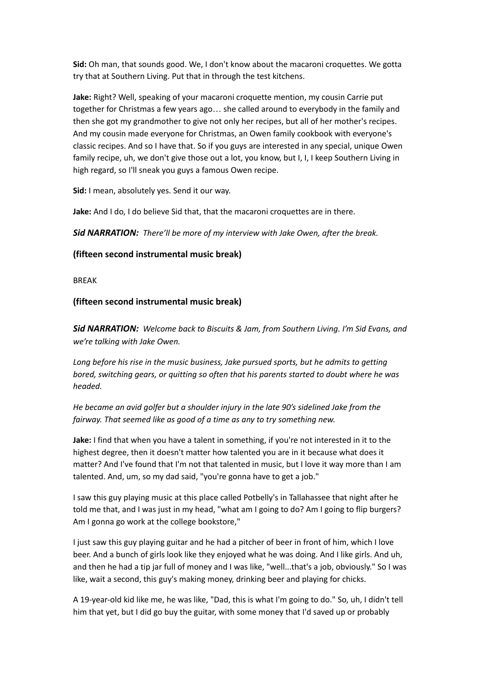**Sid:** Oh man, that sounds good. We, I don't know about the macaroni croquettes. We gotta try that at Southern Living. Put that in through the test kitchens.

**Jake:** Right? Well, speaking of your macaroni croquette mention, my cousin Carrie put together for Christmas a few years ago… she called around to everybody in the family and then she got my grandmother to give not only her recipes, but all of her mother's recipes. And my cousin made everyone for Christmas, an Owen family cookbook with everyone's classic recipes. And so I have that. So if you guys are interested in any special, unique Owen family recipe, uh, we don't give those out a lot, you know, but I, I, I keep Southern Living in high regard, so I'll sneak you guys a famous Owen recipe.

**Sid:** I mean, absolutely yes. Send it our way.

**Jake:** And I do, I do believe Sid that, that the macaroni croquettes are in there.

*Sid NARRATION: There'll be more of my interview with Jake Owen, after the break.*

# **(fifteen second instrumental music break)**

BREAK

# **(fifteen second instrumental music break)**

*Sid NARRATION: Welcome back to Biscuits & Jam, from Southern Living. I'm Sid Evans, and we're talking with Jake Owen.*

*Long before his rise in the music business, Jake pursued sports, but he admits to getting bored, switching gears, or quitting so often that his parents started to doubt where he was headed.*

*He became an avid golfer but a shoulder injury in the late 90's sidelined Jake from the fairway. That seemed like as good of a time as any to try something new.*

**Jake:** I find that when you have a talent in something, if you're not interested in it to the highest degree, then it doesn't matter how talented you are in it because what does it matter? And I've found that I'm not that talented in music, but I love it way more than I am talented. And, um, so my dad said, "you're gonna have to get a job."

I saw this guy playing music at this place called Potbelly's in Tallahassee that night after he told me that, and I was just in my head, "what am I going to do? Am I going to flip burgers? Am I gonna go work at the college bookstore,"

I just saw this guy playing guitar and he had a pitcher of beer in front of him, which I love beer. And a bunch of girls look like they enjoyed what he was doing. And I like girls. And uh, and then he had a tip jar full of money and I was like, "well...that's a job, obviously." So I was like, wait a second, this guy's making money, drinking beer and playing for chicks.

A 19-year-old kid like me, he was like, "Dad, this is what I'm going to do." So, uh, I didn't tell him that yet, but I did go buy the guitar, with some money that I'd saved up or probably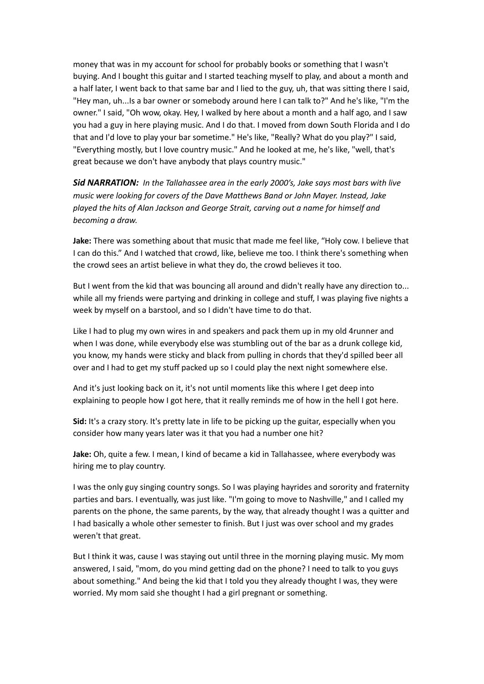money that was in my account for school for probably books or something that I wasn't buying. And I bought this guitar and I started teaching myself to play, and about a month and a half later, I went back to that same bar and I lied to the guy, uh, that was sitting there I said, "Hey man, uh...Is a bar owner or somebody around here I can talk to?" And he's like, "I'm the owner." I said, "Oh wow, okay. Hey, I walked by here about a month and a half ago, and I saw you had a guy in here playing music. And I do that. I moved from down South Florida and I do that and I'd love to play your bar sometime." He's like, "Really? What do you play?" I said, "Everything mostly, but I love country music." And he looked at me, he's like, "well, that's great because we don't have anybody that plays country music."

*Sid NARRATION: In the Tallahassee area in the early 2000's, Jake says most bars with live music were looking for covers of the Dave Matthews Band or John Mayer. Instead, Jake played the hits of Alan Jackson and George Strait, carving out a name for himself and becoming a draw.*

**Jake:** There was something about that music that made me feel like, "Holy cow. I believe that I can do this." And I watched that crowd, like, believe me too. I think there's something when the crowd sees an artist believe in what they do, the crowd believes it too.

But I went from the kid that was bouncing all around and didn't really have any direction to... while all my friends were partying and drinking in college and stuff, I was playing five nights a week by myself on a barstool, and so I didn't have time to do that.

Like I had to plug my own wires in and speakers and pack them up in my old 4runner and when I was done, while everybody else was stumbling out of the bar as a drunk college kid, you know, my hands were sticky and black from pulling in chords that they'd spilled beer all over and I had to get my stuff packed up so I could play the next night somewhere else.

And it's just looking back on it, it's not until moments like this where I get deep into explaining to people how I got here, that it really reminds me of how in the hell I got here.

**Sid:** It's a crazy story. It's pretty late in life to be picking up the guitar, especially when you consider how many years later was it that you had a number one hit?

**Jake:** Oh, quite a few. I mean, I kind of became a kid in Tallahassee, where everybody was hiring me to play country.

I was the only guy singing country songs. So I was playing hayrides and sorority and fraternity parties and bars. I eventually, was just like. "I'm going to move to Nashville," and I called my parents on the phone, the same parents, by the way, that already thought I was a quitter and I had basically a whole other semester to finish. But I just was over school and my grades weren't that great.

But I think it was, cause I was staying out until three in the morning playing music. My mom answered, I said, "mom, do you mind getting dad on the phone? I need to talk to you guys about something." And being the kid that I told you they already thought I was, they were worried. My mom said she thought I had a girl pregnant or something.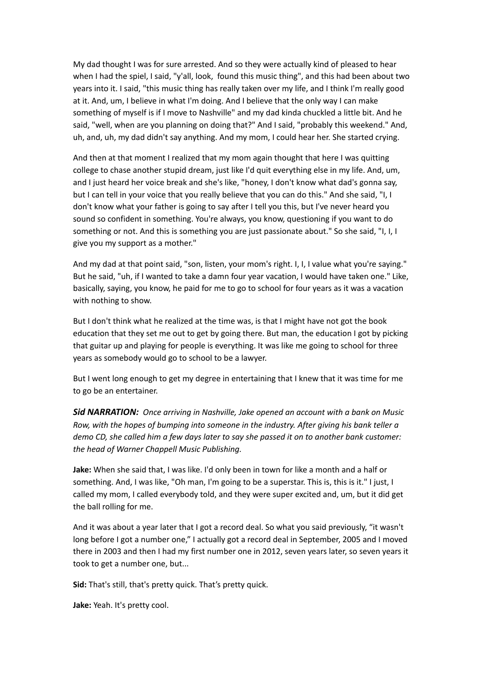My dad thought I was for sure arrested. And so they were actually kind of pleased to hear when I had the spiel, I said, "y'all, look, found this music thing", and this had been about two years into it. I said, "this music thing has really taken over my life, and I think I'm really good at it. And, um, I believe in what I'm doing. And I believe that the only way I can make something of myself is if I move to Nashville" and my dad kinda chuckled a little bit. And he said, "well, when are you planning on doing that?" And I said, "probably this weekend." And, uh, and, uh, my dad didn't say anything. And my mom, I could hear her. She started crying.

And then at that moment I realized that my mom again thought that here I was quitting college to chase another stupid dream, just like I'd quit everything else in my life. And, um, and I just heard her voice break and she's like, "honey, I don't know what dad's gonna say, but I can tell in your voice that you really believe that you can do this." And she said, "I, I don't know what your father is going to say after I tell you this, but I've never heard you sound so confident in something. You're always, you know, questioning if you want to do something or not. And this is something you are just passionate about." So she said, "I, I, I give you my support as a mother."

And my dad at that point said, "son, listen, your mom's right. I, I, I value what you're saying." But he said, "uh, if I wanted to take a damn four year vacation, I would have taken one." Like, basically, saying, you know, he paid for me to go to school for four years as it was a vacation with nothing to show.

But I don't think what he realized at the time was, is that I might have not got the book education that they set me out to get by going there. But man, the education I got by picking that guitar up and playing for people is everything. It was like me going to school for three years as somebody would go to school to be a lawyer.

But I went long enough to get my degree in entertaining that I knew that it was time for me to go be an entertainer.

*Sid NARRATION: Once arriving in Nashville, Jake opened an account with a bank on Music Row, with the hopes of bumping into someone in the industry. After giving his bank teller a demo CD, she called him a few days later to say she passed it on to another bank customer: the head of Warner Chappell Music Publishing.*

**Jake:** When she said that, I was like. I'd only been in town for like a month and a half or something. And, I was like, "Oh man, I'm going to be a superstar. This is, this is it." I just, I called my mom, I called everybody told, and they were super excited and, um, but it did get the ball rolling for me.

And it was about a year later that I got a record deal. So what you said previously, "it wasn't long before I got a number one," I actually got a record deal in September, 2005 and I moved there in 2003 and then I had my first number one in 2012, seven years later, so seven years it took to get a number one, but...

**Sid:** That's still, that's pretty quick. That's pretty quick.

**Jake:** Yeah. It's pretty cool.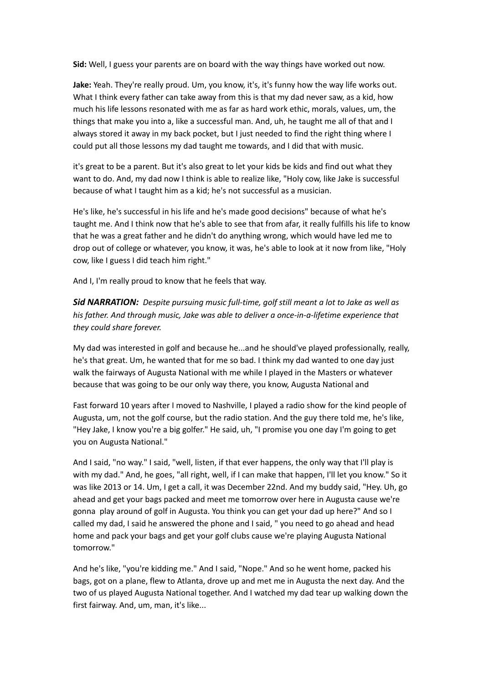**Sid:** Well, I guess your parents are on board with the way things have worked out now.

**Jake:** Yeah. They're really proud. Um, you know, it's, it's funny how the way life works out. What I think every father can take away from this is that my dad never saw, as a kid, how much his life lessons resonated with me as far as hard work ethic, morals, values, um, the things that make you into a, like a successful man. And, uh, he taught me all of that and I always stored it away in my back pocket, but I just needed to find the right thing where I could put all those lessons my dad taught me towards, and I did that with music.

it's great to be a parent. But it's also great to let your kids be kids and find out what they want to do. And, my dad now I think is able to realize like, "Holy cow, like Jake is successful because of what I taught him as a kid; he's not successful as a musician.

He's like, he's successful in his life and he's made good decisions" because of what he's taught me. And I think now that he's able to see that from afar, it really fulfills his life to know that he was a great father and he didn't do anything wrong, which would have led me to drop out of college or whatever, you know, it was, he's able to look at it now from like, "Holy cow, like I guess I did teach him right."

And I, I'm really proud to know that he feels that way.

*Sid NARRATION: Despite pursuing music full-time, golf still meant a lot to Jake as well as his father. And through music, Jake was able to deliver a once-in-a-lifetime experience that they could share forever.*

My dad was interested in golf and because he...and he should've played professionally, really, he's that great. Um, he wanted that for me so bad. I think my dad wanted to one day just walk the fairways of Augusta National with me while I played in the Masters or whatever because that was going to be our only way there, you know, Augusta National and

Fast forward 10 years after I moved to Nashville, I played a radio show for the kind people of Augusta, um, not the golf course, but the radio station. And the guy there told me, he's like, "Hey Jake, I know you're a big golfer." He said, uh, "I promise you one day I'm going to get you on Augusta National."

And I said, "no way." I said, "well, listen, if that ever happens, the only way that I'll play is with my dad." And, he goes, "all right, well, if I can make that happen, I'll let you know." So it was like 2013 or 14. Um, I get a call, it was December 22nd. And my buddy said, "Hey. Uh, go ahead and get your bags packed and meet me tomorrow over here in Augusta cause we're gonna play around of golf in Augusta. You think you can get your dad up here?" And so I called my dad, I said he answered the phone and I said, " you need to go ahead and head home and pack your bags and get your golf clubs cause we're playing Augusta National tomorrow."

And he's like, "you're kidding me." And I said, "Nope." And so he went home, packed his bags, got on a plane, flew to Atlanta, drove up and met me in Augusta the next day. And the two of us played Augusta National together. And I watched my dad tear up walking down the first fairway. And, um, man, it's like...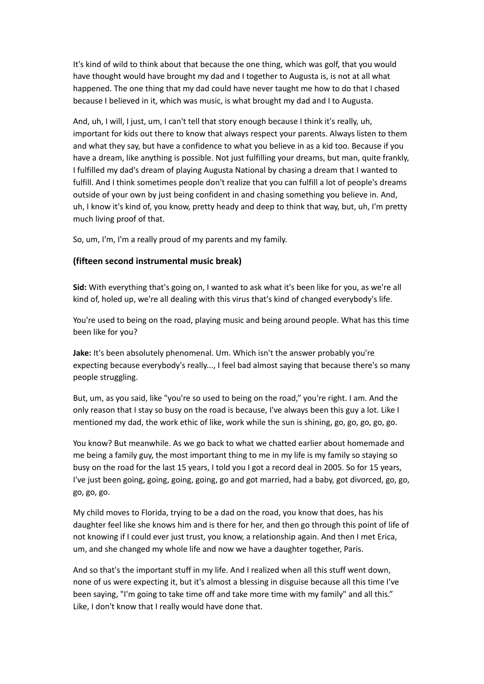It's kind of wild to think about that because the one thing, which was golf, that you would have thought would have brought my dad and I together to Augusta is, is not at all what happened. The one thing that my dad could have never taught me how to do that I chased because I believed in it, which was music, is what brought my dad and I to Augusta.

And, uh, I will, I just, um, I can't tell that story enough because I think it's really, uh, important for kids out there to know that always respect your parents. Always listen to them and what they say, but have a confidence to what you believe in as a kid too. Because if you have a dream, like anything is possible. Not just fulfilling your dreams, but man, quite frankly, I fulfilled my dad's dream of playing Augusta National by chasing a dream that I wanted to fulfill. And I think sometimes people don't realize that you can fulfill a lot of people's dreams outside of your own by just being confident in and chasing something you believe in. And, uh, I know it's kind of, you know, pretty heady and deep to think that way, but, uh, I'm pretty much living proof of that.

So, um, I'm, I'm a really proud of my parents and my family.

#### **(fifteen second instrumental music break)**

**Sid:** With everything that's going on, I wanted to ask what it's been like for you, as we're all kind of, holed up, we're all dealing with this virus that's kind of changed everybody's life.

You're used to being on the road, playing music and being around people. What has this time been like for you?

**Jake:** It's been absolutely phenomenal. Um. Which isn't the answer probably you're expecting because everybody's really..., I feel bad almost saying that because there's so many people struggling.

But, um, as you said, like "you're so used to being on the road," you're right. I am. And the only reason that I stay so busy on the road is because, I've always been this guy a lot. Like I mentioned my dad, the work ethic of like, work while the sun is shining, go, go, go, go, go.

You know? But meanwhile. As we go back to what we chatted earlier about homemade and me being a family guy, the most important thing to me in my life is my family so staying so busy on the road for the last 15 years, I told you I got a record deal in 2005. So for 15 years, I've just been going, going, going, going, go and got married, had a baby, got divorced, go, go, go, go, go.

My child moves to Florida, trying to be a dad on the road, you know that does, has his daughter feel like she knows him and is there for her, and then go through this point of life of not knowing if I could ever just trust, you know, a relationship again. And then I met Erica, um, and she changed my whole life and now we have a daughter together, Paris.

And so that's the important stuff in my life. And I realized when all this stuff went down, none of us were expecting it, but it's almost a blessing in disguise because all this time I've been saying, "I'm going to take time off and take more time with my family" and all this." Like, I don't know that I really would have done that.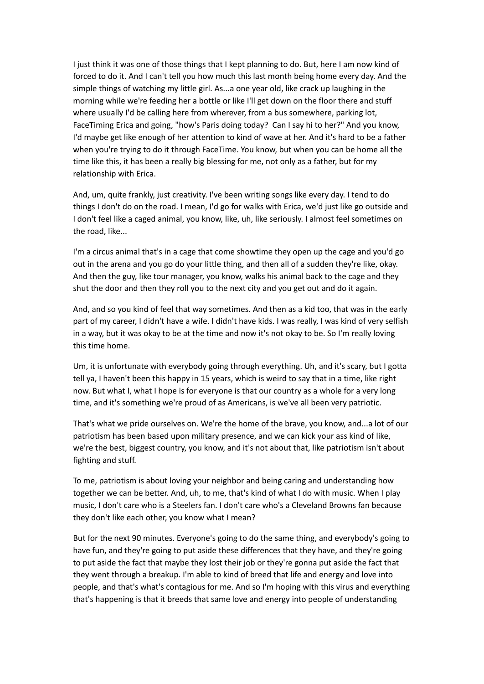I just think it was one of those things that I kept planning to do. But, here I am now kind of forced to do it. And I can't tell you how much this last month being home every day. And the simple things of watching my little girl. As...a one year old, like crack up laughing in the morning while we're feeding her a bottle or like I'll get down on the floor there and stuff where usually I'd be calling here from wherever, from a bus somewhere, parking lot, FaceTiming Erica and going, "how's Paris doing today? Can I say hi to her?" And you know, I'd maybe get like enough of her attention to kind of wave at her. And it's hard to be a father when you're trying to do it through FaceTime. You know, but when you can be home all the time like this, it has been a really big blessing for me, not only as a father, but for my relationship with Erica.

And, um, quite frankly, just creativity. I've been writing songs like every day. I tend to do things I don't do on the road. I mean, I'd go for walks with Erica, we'd just like go outside and I don't feel like a caged animal, you know, like, uh, like seriously. I almost feel sometimes on the road, like...

I'm a circus animal that's in a cage that come showtime they open up the cage and you'd go out in the arena and you go do your little thing, and then all of a sudden they're like, okay. And then the guy, like tour manager, you know, walks his animal back to the cage and they shut the door and then they roll you to the next city and you get out and do it again.

And, and so you kind of feel that way sometimes. And then as a kid too, that was in the early part of my career, I didn't have a wife. I didn't have kids. I was really, I was kind of very selfish in a way, but it was okay to be at the time and now it's not okay to be. So I'm really loving this time home.

Um, it is unfortunate with everybody going through everything. Uh, and it's scary, but I gotta tell ya, I haven't been this happy in 15 years, which is weird to say that in a time, like right now. But what I, what I hope is for everyone is that our country as a whole for a very long time, and it's something we're proud of as Americans, is we've all been very patriotic.

That's what we pride ourselves on. We're the home of the brave, you know, and...a lot of our patriotism has been based upon military presence, and we can kick your ass kind of like, we're the best, biggest country, you know, and it's not about that, like patriotism isn't about fighting and stuff.

To me, patriotism is about loving your neighbor and being caring and understanding how together we can be better. And, uh, to me, that's kind of what I do with music. When I play music, I don't care who is a Steelers fan. I don't care who's a Cleveland Browns fan because they don't like each other, you know what I mean?

But for the next 90 minutes. Everyone's going to do the same thing, and everybody's going to have fun, and they're going to put aside these differences that they have, and they're going to put aside the fact that maybe they lost their job or they're gonna put aside the fact that they went through a breakup. I'm able to kind of breed that life and energy and love into people, and that's what's contagious for me. And so I'm hoping with this virus and everything that's happening is that it breeds that same love and energy into people of understanding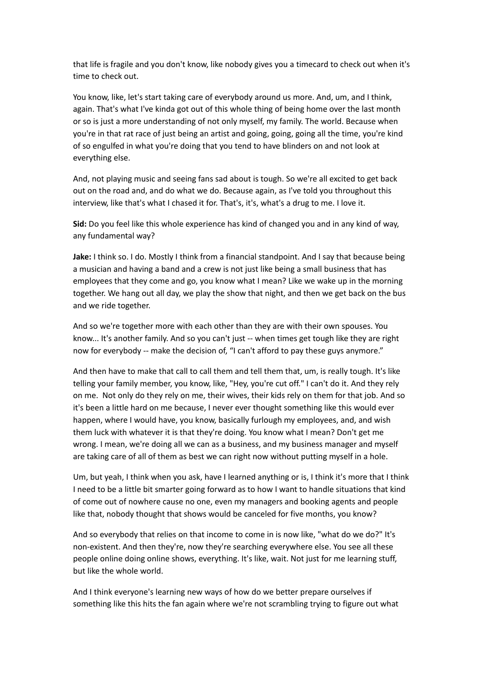that life is fragile and you don't know, like nobody gives you a timecard to check out when it's time to check out.

You know, like, let's start taking care of everybody around us more. And, um, and I think, again. That's what I've kinda got out of this whole thing of being home over the last month or so is just a more understanding of not only myself, my family. The world. Because when you're in that rat race of just being an artist and going, going, going all the time, you're kind of so engulfed in what you're doing that you tend to have blinders on and not look at everything else.

And, not playing music and seeing fans sad about is tough. So we're all excited to get back out on the road and, and do what we do. Because again, as I've told you throughout this interview, like that's what I chased it for. That's, it's, what's a drug to me. I love it.

**Sid:** Do you feel like this whole experience has kind of changed you and in any kind of way, any fundamental way?

**Jake:** I think so. I do. Mostly I think from a financial standpoint. And I say that because being a musician and having a band and a crew is not just like being a small business that has employees that they come and go, you know what I mean? Like we wake up in the morning together. We hang out all day, we play the show that night, and then we get back on the bus and we ride together.

And so we're together more with each other than they are with their own spouses. You know... It's another family. And so you can't just -- when times get tough like they are right now for everybody -- make the decision of, "I can't afford to pay these guys anymore."

And then have to make that call to call them and tell them that, um, is really tough. It's like telling your family member, you know, like, "Hey, you're cut off." I can't do it. And they rely on me. Not only do they rely on me, their wives, their kids rely on them for that job. And so it's been a little hard on me because, I never ever thought something like this would ever happen, where I would have, you know, basically furlough my employees, and, and wish them luck with whatever it is that they're doing. You know what I mean? Don't get me wrong. I mean, we're doing all we can as a business, and my business manager and myself are taking care of all of them as best we can right now without putting myself in a hole.

Um, but yeah, I think when you ask, have I learned anything or is, I think it's more that I think I need to be a little bit smarter going forward as to how I want to handle situations that kind of come out of nowhere cause no one, even my managers and booking agents and people like that, nobody thought that shows would be canceled for five months, you know?

And so everybody that relies on that income to come in is now like, "what do we do?" It's non-existent. And then they're, now they're searching everywhere else. You see all these people online doing online shows, everything. It's like, wait. Not just for me learning stuff, but like the whole world.

And I think everyone's learning new ways of how do we better prepare ourselves if something like this hits the fan again where we're not scrambling trying to figure out what